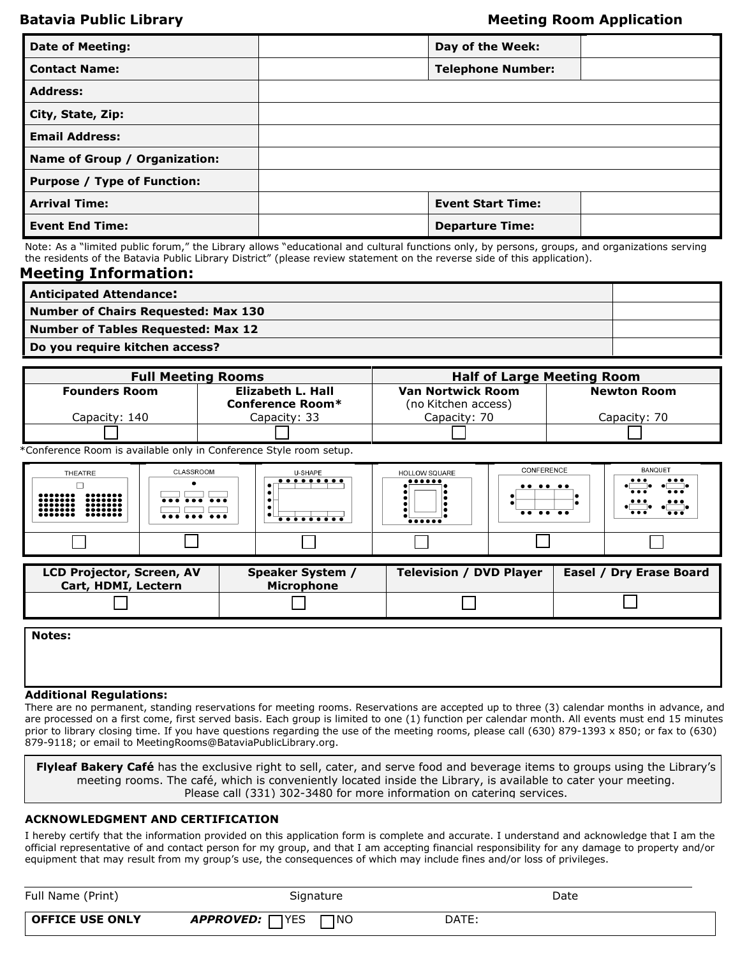## **Batavia Public Library Meeting Room Application**

| <b>Date of Meeting:</b>            | Day of the Week:         |  |
|------------------------------------|--------------------------|--|
| <b>Contact Name:</b>               | <b>Telephone Number:</b> |  |
| <b>Address:</b>                    |                          |  |
| City, State, Zip:                  |                          |  |
| <b>Email Address:</b>              |                          |  |
| Name of Group / Organization:      |                          |  |
| <b>Purpose / Type of Function:</b> |                          |  |
| <b>Arrival Time:</b>               | <b>Event Start Time:</b> |  |
| <b>Event End Time:</b>             | <b>Departure Time:</b>   |  |

Note: As a "limited public forum," the Library allows "educational and cultural functions only, by persons, groups, and organizations serving the residents of the Batavia Public Library District" (please review statement on the reverse side of this application).

### **Meeting Information:**

| <b>Anticipated Attendance:</b>      |  |
|-------------------------------------|--|
| Number of Chairs Requested: Max 130 |  |
| Number of Tables Requested: Max 12  |  |
| Do you require kitchen access?      |  |

| <b>Full Meeting Rooms</b> |                                       | <b>Half of Large Meeting Room</b>               |                    |  |
|---------------------------|---------------------------------------|-------------------------------------------------|--------------------|--|
| <b>Founders Room</b>      | Elizabeth L. Hall<br>Conference Room* | <b>Van Nortwick Room</b><br>(no Kitchen access) | <b>Newton Room</b> |  |
| Capacitv: 140             | Capacity: 33                          | Capacity: 70                                    | Capacity: 70       |  |
|                           |                                       |                                                 |                    |  |

\*Conference Room is available only in Conference Style room setup.

| THEATRE<br><br>$\bullet\bullet\bullet\bullet\bullet\bullet\bullet$<br>$\bullet \bullet \bullet \bullet \bullet \bullet \bullet$<br>$\bullet\bullet\bullet\bullet\bullet\bullet\bullet$<br>${\small \bullet \bullet \bullet \bullet \bullet \bullet \bullet}$<br>${\small \bullet \bullet \bullet \bullet \bullet \bullet \bullet}$<br>$\bullet\bullet\bullet\bullet\bullet\bullet\bullet$<br>$\bullet\bullet\bullet\bullet\bullet\bullet\bullet$ | CLASSROOM | U-SHAPE<br><br> | HOLLOW SQUARE<br>$\bullet\bullet\bullet\bullet\bullet\bullet$<br>$\bullet \bullet \bullet \bullet \bullet \bullet$ | CONFERENCE<br>$\cdots$<br>$\cdots$ | <b>BANQUET</b><br>$\bullet\bullet\bullet$<br>$\bullet\bullet\bullet$<br>$\bullet\bullet\bullet$<br>$\bullet\bullet\bullet$<br>$\bullet\bullet\bullet$<br>$\bullet\bullet\bullet$<br>$\bullet\bullet\bullet$<br>$\bullet\bullet\bullet$ |
|--------------------------------------------------------------------------------------------------------------------------------------------------------------------------------------------------------------------------------------------------------------------------------------------------------------------------------------------------------------------------------------------------------------------------------------------------|-----------|-----------------|--------------------------------------------------------------------------------------------------------------------|------------------------------------|----------------------------------------------------------------------------------------------------------------------------------------------------------------------------------------------------------------------------------------|
|                                                                                                                                                                                                                                                                                                                                                                                                                                                  |           |                 |                                                                                                                    |                                    |                                                                                                                                                                                                                                        |

| <b>LCD Projector, Screen, AV</b><br>Cart, HDMI, Lectern | Speaker System<br><b>Microphone</b> | <b>Television / DVD Plaver</b> | Easel / Dry Erase Board |
|---------------------------------------------------------|-------------------------------------|--------------------------------|-------------------------|
|                                                         |                                     |                                |                         |

**Notes:**

#### **Additional Regulations:**

There are no permanent, standing reservations for meeting rooms. Reservations are accepted up to three (3) calendar months in advance, and are processed on a first come, first served basis. Each group is limited to one (1) function per calendar month. All events must end 15 minutes prior to library closing time. If you have questions regarding the use of the meeting rooms, please call (630) 879-1393 x 850; or fax to (630) 879-9118; or email to [MeetingRooms@BataviaPublicLibrary.org.](mailto:meetingrooms@bataviapubliclibrary.org)

**Flyleaf Bakery Café** has the exclusive right to sell, cater, and serve food and beverage items to groups using the Library's meeting rooms. The café, which is conveniently located inside the Library, is available to cater your meeting. Please call (331) 302-3480 for more information on catering services.

#### **ACKNOWLEDGMENT AND CERTIFICATION**

I hereby certify that the information provided on this application form is complete and accurate. I understand and acknowledge that I am the official representative of and contact person for my group, and that I am accepting financial responsibility for any damage to property and/or equipment that may result from my group's use, the consequences of which may include fines and/or loss of privileges.

| Full Name (Print)      | Signature                             |       | Date |  |
|------------------------|---------------------------------------|-------|------|--|
| <b>OFFICE USE ONLY</b> | <b>TYES</b><br>ר⊓<br><b>APPROVED:</b> | DATE: |      |  |